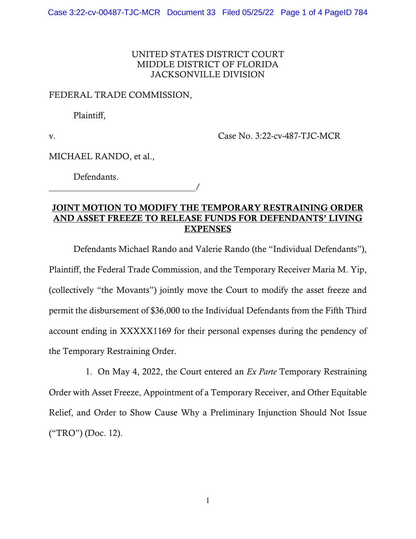## UNITED STATES DISTRICT COURT MIDDLE DISTRICT OF FLORIDA JACKSONVILLE DIVISION

## FEDERAL TRADE COMMISSION,

Plaintiff,

v. Case No. 3:22-cv-487-TJC-MCR

MICHAEL RANDO, et al.,

Defendants.

/

## JOINT MOTION TO MODIFY THE TEMPORARY RESTRAINING ORDER AND ASSET FREEZE TO RELEASE FUNDS FOR DEFENDANTS' LIVING **EXPENSES**

Defendants Michael Rando and Valerie Rando (the "Individual Defendants"), Plaintiff, the Federal Trade Commission, and the Temporary Receiver Maria M. Yip, (collectively "the Movants") jointly move the Court to modify the asset freeze and permit the disbursement of \$36,000 to the Individual Defendants from the Fifth Third account ending in XXXXX1169 for their personal expenses during the pendency of the Temporary Restraining Order.

1. On May 4, 2022, the Court entered an *Ex Parte* Temporary Restraining Order with Asset Freeze, Appointment of a Temporary Receiver, and Other Equitable Relief, and Order to Show Cause Why a Preliminary Injunction Should Not Issue ("TRO") (Doc. 12).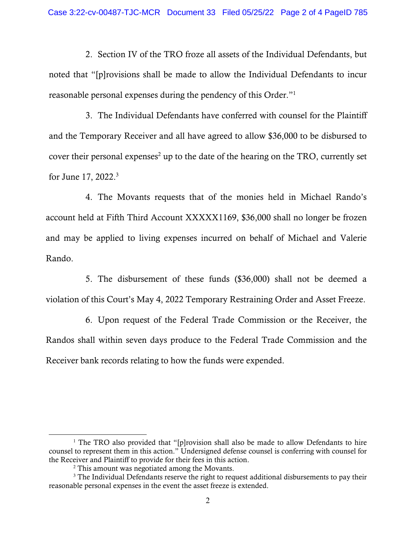2. Section IV of the TRO froze all assets of the Individual Defendants, but noted that "[p]rovisions shall be made to allow the Individual Defendants to incur reasonable personal expenses during the pendency of this Order."1

3. The Individual Defendants have conferred with counsel for the Plaintiff and the Temporary Receiver and all have agreed to allow \$36,000 to be disbursed to cover their personal expenses<sup>2</sup> up to the date of the hearing on the TRO, currently set for June 17, 2022.<sup>3</sup>

4. The Movants requests that of the monies held in Michael Rando's account held at Fifth Third Account XXXXX1169, \$36,000 shall no longer be frozen and may be applied to living expenses incurred on behalf of Michael and Valerie Rando.

5. The disbursement of these funds (\$36,000) shall not be deemed a violation of this Court's May 4, 2022 Temporary Restraining Order and Asset Freeze.

6. Upon request of the Federal Trade Commission or the Receiver, the Randos shall within seven days produce to the Federal Trade Commission and the Receiver bank records relating to how the funds were expended.

<sup>&</sup>lt;sup>1</sup> The TRO also provided that "[p]rovision shall also be made to allow Defendants to hire counsel to represent them in this action." Undersigned defense counsel is conferring with counsel for the Receiver and Plaintiff to provide for their fees in this action.

<sup>&</sup>lt;sup>2</sup> This amount was negotiated among the Movants.

 $3$  The Individual Defendants reserve the right to request additional disbursements to pay their reasonable personal expenses in the event the asset freeze is extended.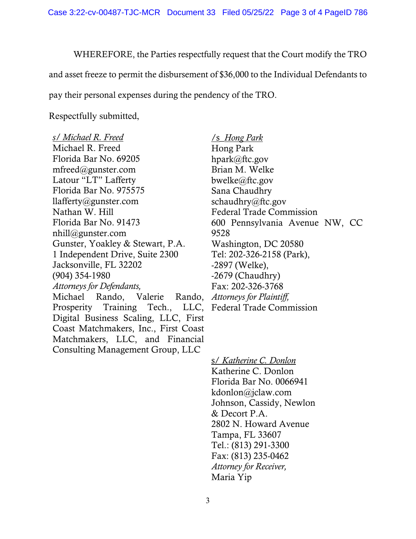Case 3:22-cv-00487-TJC-MCR Document 33 Filed 05/25/22 Page 3 of 4 PageID 786

WHEREFORE, the Parties respectfully request that the Court modify the TRO and asset freeze to permit the disbursement of \$36,000 to the Individual Defendants to pay their personal expenses during the pendency of the TRO.

Respectfully submitted,

*s/ Michael R. Freed*  Michael R. Freed Florida Bar No. 69205 mfreed@gunster.com Latour "LT" Lafferty Florida Bar No. 975575 llafferty@gunster.com Nathan W. Hill Florida Bar No. 91473 nhill@gunster.com Gunster, Yoakley & Stewart, P.A. 1 Independent Drive, Suite 2300 Jacksonville, FL 32202 (904) 354-1980 *Attorneys for Defendants,*  Michael Rando, Valerie Rando, Prosperity Training Tech., LLC, Digital Business Scaling, LLC, First Coast Matchmakers, Inc., First Coast

Matchmakers, LLC, and Financial Consulting Management Group, LLC

/s\_*Hong Park*  Hong Park hpark@ftc.gov Brian M. Welke bwelke@ftc.gov Sana Chaudhry schaudhry@ftc.gov Federal Trade Commission 600 Pennsylvania Avenue NW, CC 9528 Washington, DC 20580 Tel: 202-326-2158 (Park), -2897 (Welke), -2679 (Chaudhry) Fax: 202-326-3768 *Attorneys for Plaintiff,*  Federal Trade Commission

s/ *Katherine C. Donlon* Katherine C. Donlon Florida Bar No. 0066941 kdonlon@jclaw.com Johnson, Cassidy, Newlon & Decort P.A. 2802 N. Howard Avenue Tampa, FL 33607 Tel.: (813) 291-3300 Fax: (813) 235-0462 *Attorney for Receiver,*  Maria Yip